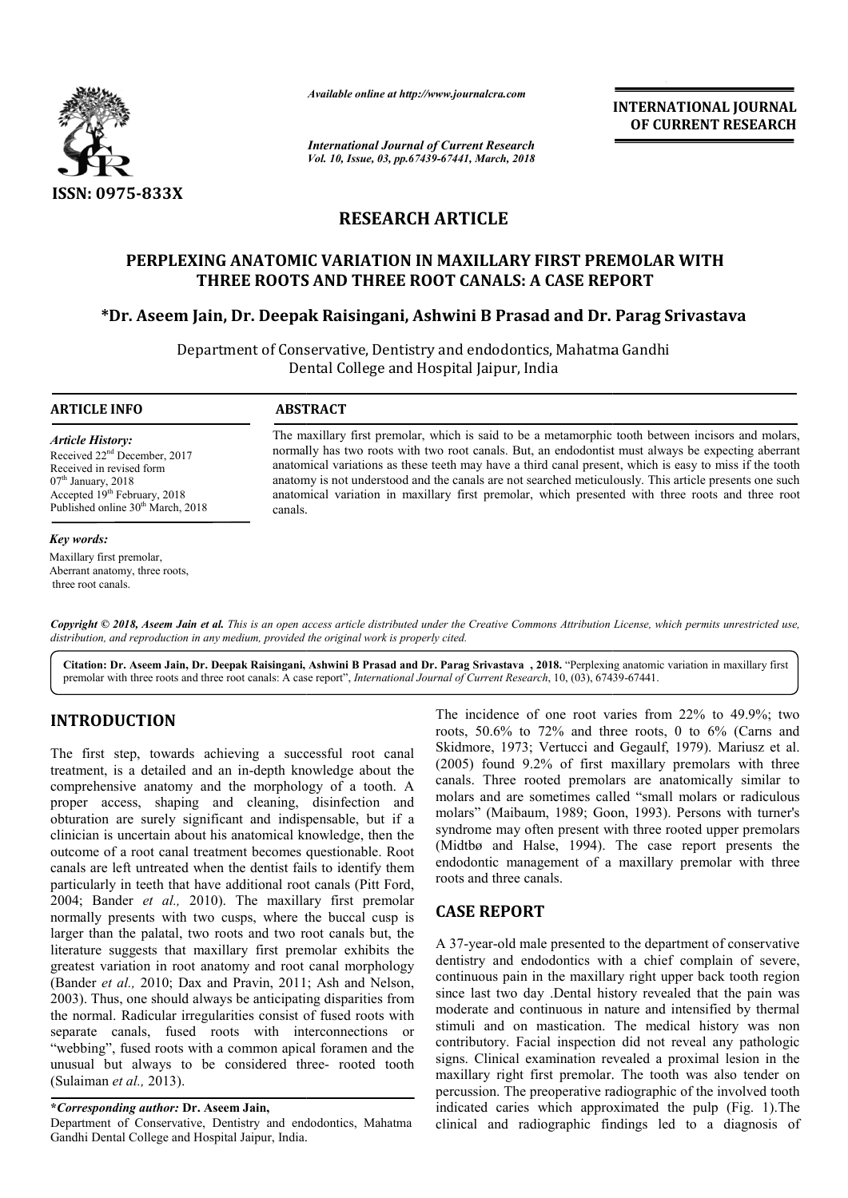

*Available online at http://www.journalcra.com*

*International Journal of Current Research Vol. 10, Issue, 03, pp.67439-67441, March, 2018* **INTERNATIONAL JOURNAL OF CURRENT RESEARCH**

# **RESEARCH ARTICLE**

## **PERPLEXING ANATOMIC VARIATION IN MAXILLARY FIRST PREMOLAR WITH PERPLEXING PREMOLAR WITH THREE ROOTS AND THREE ROOT CANALS: A CASE REPORT**

# \*Dr. Aseem Jain, Dr. Deepak Raisingani, Ashwini B Prasad and Dr. Parag Srivastava

Department of Conservative, Dentistry and endodontics, Mahatma Gandhi Dental College and Hospital Jaipur, India

#### **ARTICLE INFO ABSTRACT**

*Article History:* Received 22nd December, 2017 Received in revised form  $07<sup>th</sup>$  January, 2018 Accepted 19th February, 2018 Published online 30<sup>th</sup> March, 2018

#### *Key words:*

Maxillary first premolar, Aberrant anatomy, three roots, three root canals.

The maxillary first premolar, which is said to be a metamorphic tooth between incisors and molars, normally has two roots with two root canals. But, an endodontist must always be expecting aberrant anatomical variations as these teeth may have a third canal present, which is easy to miss if the tooth anatomy is not understood and the canals are not searched meticulously. This article presents one such anatomical variation in maxillary first premolar, which presented with three roots and three root canals. .normally has two roots with two root canals. But, an endodontist must alvanatomical variations as these teeth may have a third canal present, which anatomy is not understood and the canals are not searched meticulously. Th

Copyright © 2018, Aseem Jain et al. This is an open access article distributed under the Creative Commons Attribution License, which permits unrestricted use, *distribution, and reproduction in any medium, provided the original work is properly cited.*

Citation: Dr. Aseem Jain, Dr. Deepak Raisingani, Ashwini B Prasad and Dr. Parag Srivastava , 2018. "Perplexing anatomic variation in maxillary first premolar with three roots and three root canals: A case report", *Interna* premolar with three roots and three root canals: A case report", *International Journal of Current Research*, 10, (03), 67439

## **INTRODUCTION**

The first step, towards achieving a successful root canal treatment, is a detailed and an in-depth knowledge about the comprehensive anatomy and the morphology of a tooth. A proper access, shaping and cleaning, disinfection and obturation are surely significant and indispensable, but if a clinician is uncertain about his anatomical knowledge, then the outcome of a root canal treatment becomes questionable. canals are left untreated when the dentist fails to identify them particularly in teeth that have additional root canals (Pitt Ford, 2004; Bander *et al.,* 2010). The maxillary first premolar normally presents with two cusps, where the buccal cusp is larger than the palatal, two roots and two root canals but, the literature suggests that maxillary first premolar exhibits the greatest variation in root anatomy and root canal morphology (Bander *et al.*, 2010; Dax and Pravin, 2011; Ash and Nelson, 2003). Thus, one should always be anticipating disparities from 2003). Thus, one should always be anticipating disparities from the normal. Radicular irregularities consist of fused roots with separate canals, fused roots with interconnections or "webbing", fused roots with a common apical foramen and the unusual but always to be considered three- rooted tooth (Sulaiman *et al.,* 2013). an in-depth knowledge about the<br>d the morphology of a tooth. A<br>and cleaning, disinfection and<br>icant and indispensable, but if a<br>is anatomical knowledge, then the<br>tment becomes questionable. Root

## **\****Corresponding author:* **Dr. Aseem Jain,**

Department of Conservative, Dentistry and endodontics, Mahatma Gandhi Dental College and Hospital Jaipur, India.

roots, 50.6% to 72% and three roots, 0 to 6% (Carns and Skidmore, 1973; Vertucci and Gegaulf, 1979). Mariusz et al. (2005) found 9.2% of first maxillary premolars with three canals. Three rooted premolars are anatomically similar to molars and are sometimes called "small molars or radiculous molars" (Maibaum, 1989; Goon, 1993). Persons with turner's syndrome may often present with three rooted upper premolars (Midtbø and Halse, 1994). The case report presents the endodontic management of a maxillary premolar with three roots and three canals. The incidence of one root varies from  $22\%$  to  $49.9\%$ ; two st maxillary premolars with three<br>nolars are anatomically similar to<br>called "small molars or radiculous

### **CASE REPORT**

The incidence of one root varies from 22% to 49.9%; two<br>
roots, Sol% to 72% and three roots, 0.06% and the roots, 0.06% (Carns and<br>
owledge about the<br>
(2005) found 9.2% or first maxillary premolars with three<br>
disinfection A 37-year-old male presented to the department of conservative dentistry and endodontics with a chief complain of severe, continuous pain in the maxillary right upper back tooth region since last two day .Dental history revealed that the pain was moderate and continuous in nature and intensified by thermal stimuli and on mastication. The medical history was non contributory. Facial inspection did not reveal any pathologic signs. Clinical examination revealed a proximal lesion in the maxillary right first premolar. The tooth was also te percussion. The preoperative radiographic of the involved tooth percussion. The preoperative radiographic of the involved tooth indicated caries which approximated the pulp (Fig. 1). The clinical and radiographic findings led to a diagnosis of ement of a maxillary premolar with three<br>
als.<br>
presented to the department of conservative<br>
dontics with a chief complain of severe,<br>
the maxillary right upper back tooth region<br>
Dental history revealed that the pain was Facial inspection did not reveal any pathologic<br>1 examination revealed a proximal lesion in the<br>11 first premolar. The tooth was also tender on **INTERNATIONAL JOURNAL**<br> **CERERNATIONAL SERVICUARE CONTRESS (CEREENT RESSEARCH**<br> **CERERNATIONAL SERVICUARE CONTRESS (CEREENT RESSEARCH**<br> **LEE**<br> **LARY FIRST PREMOLAR WITH**<br> **CERERNATIONAL SERVICUARE PREMOLAR PRESS (CASE RE**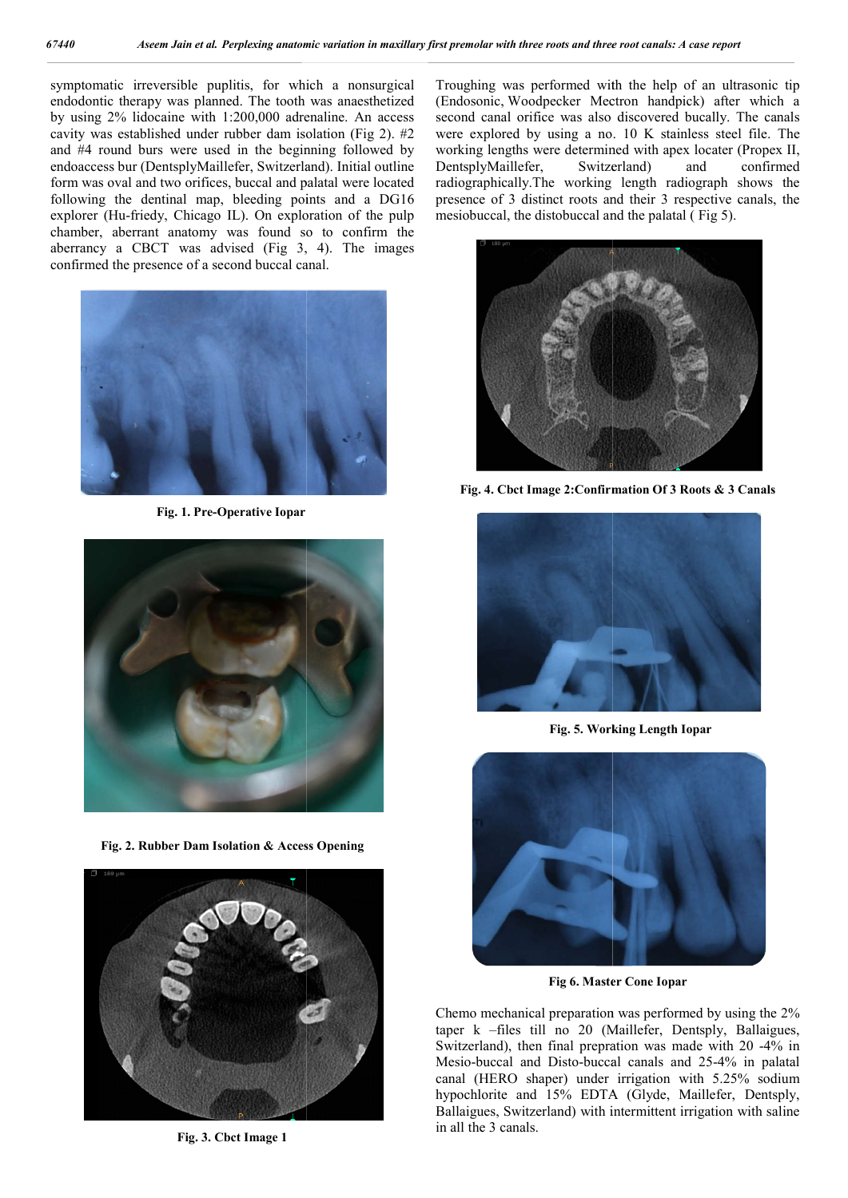symptomatic irreversible puplitis, for which a nonsurgical endodontic therapy was planned. The tooth was anaesthetized by using 2% lidocaine with 1:200,000 adrenaline. An access cavity was established under rubber dam isolation (Fig 2). #2 and #4 round burs were used in the beginning followed by endoaccess bur (DentsplyMaillefer, Switzerland). Initial outline form was oval and two orifices, buccal and palatal were located following the dentinal map, bleeding points and a DG16 explorer (Hu-friedy, Chicago IL). On exploration of the pulp chamber, aberrant anatomy was found so to confirm the aberrancy a CBCT was advised  $(Fig 3, 4)$ . The images confirmed the presence of a second buccal canal.



**Fig. 1. Pre-Operative Iopar**



**Fig. 2. Rubber Dam Isolation & Access Opening**



**Fig. 3. Cbct Image 1**

Troughing was performed with the help of an ultrasonic tip Troughing was performed with the help of an ultrasonic tip (Endosonic, Woodpecker Mectron handpick) after which a second canal orifice was also discovered bucally. The canals were explored by using a no. 10 K stainless steel file. The working lengths were determined with apex locater (Propex II, DentsplyMaillefer, Switzerland) and confirmed radiographically.The working length radiograph shows the presence of 3 distinct roots and their 3 respective canals, the mesiobuccal, the distobuccal and the palatal (Fig 5). working lengths were determined with apex locater (Propex II,<br>DentsplyMaillefer, Switzerland) and confirmed<br>radiographically. The working length radiograph shows the<br>presence of 3 distinct roots and their 3 respective cana



**Fig. 4. Cbct Image 2:Confirmation Of 3 Roots & 3 Canals**



**Fig. 5. Working Length Iopar**



**Fig 6. Master Cone Iopar**

Chemo mechanical preparation was performed by using the  $2\%$ taper k –files till no 20 (Maillefer, Dentsply, Ballaigues, Switzerland), then final prepration was made with 20 -4% in Mesio-buccal and Disto-buccal canals and 25-4% in palatal canal (HERO shaper) under irrigation with 5.25% sodium hypochlorite and 15% EDTA (Glyde, Maillefer, Dentsply, Ballaigues, Switzerland) with intermittent irrigation with saline in all the 3 canals.